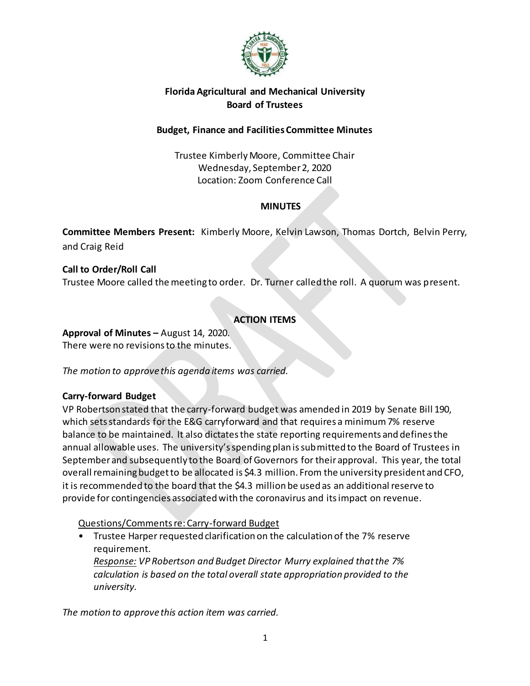

## **Florida Agricultural and Mechanical University Board of Trustees**

### **Budget, Finance and Facilities Committee Minutes**

Trustee Kimberly Moore, Committee Chair Wednesday, September 2, 2020 Location: Zoom Conference Call

## **MINUTES**

**Committee Members Present:** Kimberly Moore, Kelvin Lawson, Thomas Dortch, Belvin Perry, and Craig Reid

# **Call to Order/Roll Call** Trustee Moore called the meeting to order. Dr. Turner called the roll. A quorum was present.

# **ACTION ITEMS**

**Approval of Minutes –** August 14, 2020. There were no revisions to the minutes.

*The motion to approve this agenda items was carried.*

## **Carry-forward Budget**

VP Robertson stated that the carry-forward budget was amended in 2019 by Senate Bill 190, which sets standards for the E&G carryforward and that requires a minimum 7% reserve balance to be maintained. It also dictates the state reporting requirements and defines the annual allowable uses. The university's spending plan is submitted to the Board of Trustees in September and subsequently to the Board of Governors for their approval. This year, the total overall remaining budget to be allocated is \$4.3 million. From the university president and CFO, it is recommended to the board that the \$4.3 million be used as an additional reserve to provide for contingencies associated with the coronavirus and its impact on revenue.

## Questions/Comments re: Carry-forward Budget

• Trustee Harper requested clarification on the calculation of the 7% reserve requirement. *Response: VP Robertson and Budget Director Murry explained that the 7% calculation is based on the total overall state appropriation provided to the university.*

*The motion to approve this action item was carried.*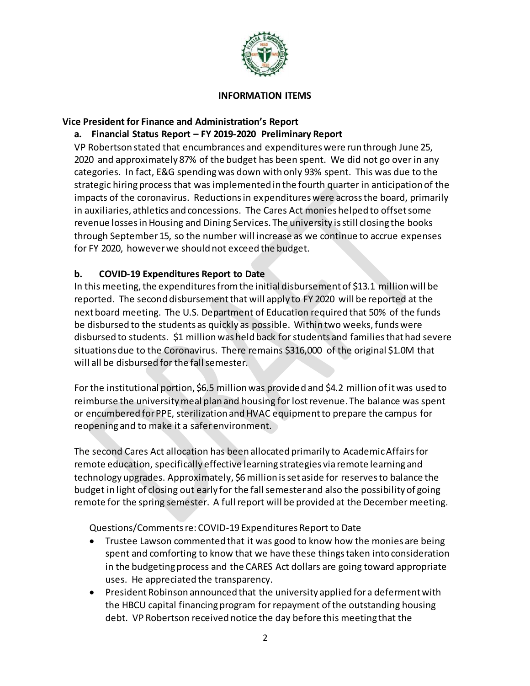

#### **INFORMATION ITEMS**

#### **Vice President for Finance and Administration's Report**

## **a. Financial Status Report – FY 2019-2020 Preliminary Report**

VP Robertson stated that encumbrances and expenditures were run through June 25, 2020 and approximately 87% of the budget has been spent. We did not go over in any categories. In fact, E&G spending was down with only 93% spent. This was due to the strategic hiring process that was implemented in the fourth quarter in anticipation of the impacts of the coronavirus. Reductions in expenditures were across the board, primarily in auxiliaries, athletics and concessions. The Cares Act monies helped to offset some revenue losses in Housing and Dining Services. The university is still closing the books through September 15, so the number will increase as we continue to accrue expenses for FY 2020, however we should not exceed the budget.

### **b. COVID-19 Expenditures Report to Date**

In this meeting, the expenditures from the initial disbursement of \$13.1 million will be reported. The second disbursement that will apply to FY 2020 will be reported at the next board meeting. The U.S. Department of Education required that 50% of the funds be disbursed to the students as quickly as possible. Within two weeks, funds were disbursed to students. \$1 million was held back for students and families that had severe situations due to the Coronavirus. There remains \$316,000 of the original \$1.0M that will all be disbursed for the fall semester.

For the institutional portion, \$6.5 million was provided and \$4.2 million of it was used to reimburse the university meal plan and housing for lost revenue. The balance was spent or encumbered for PPE, sterilization and HVAC equipment to prepare the campus for reopening and to make it a safer environment.

The second Cares Act allocation has been allocated primarily to Academic Affairs for remote education, specifically effective learning strategies via remote learning and technology upgrades. Approximately, \$6 million is set aside for reserves to balance the budget in light of closing out early for the fall semester and also the possibility of going remote for the spring semester. A full report will be provided at the December meeting.

### Questions/Comments re: COVID-19 Expenditures Report to Date

- Trustee Lawson commented that it was good to know how the monies are being spent and comforting to know that we have these things taken into consideration in the budgeting process and the CARES Act dollars are going toward appropriate uses. He appreciated the transparency.
- President Robinson announced that the university applied for a deferment with the HBCU capital financing program for repayment of the outstanding housing debt. VP Robertson received notice the day before this meeting that the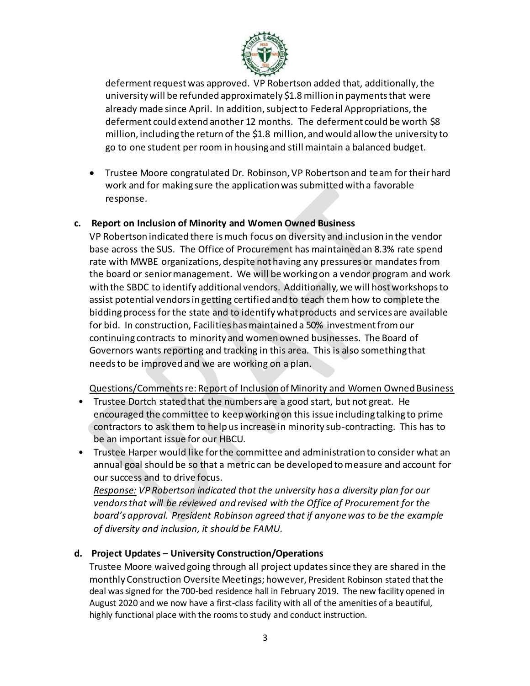

deferment request was approved. VP Robertson added that, additionally, the university will be refunded approximately \$1.8 million in payments that were already made since April. In addition, subject to Federal Appropriations, the deferment could extend another 12 months. The deferment could be worth \$8 million, including the return of the \$1.8 million, and would allow the university to go to one student per room in housing and still maintain a balanced budget.

 Trustee Moore congratulated Dr. Robinson, VP Robertson and team for their hard work and for making sure the application was submitted with a favorable response.

#### **c. Report on Inclusion of Minority and Women Owned Business**

VP Robertson indicated there is much focus on diversity and inclusion in the vendor base across the SUS. The Office of Procurement has maintained an 8.3% rate spend rate with MWBE organizations, despite not having any pressures or mandates from the board or senior management. We will be working on a vendor program and work with the SBDC to identify additional vendors. Additionally, we will host workshops to assist potential vendors in getting certified and to teach them how to complete the bidding process for the state and to identify what products and services are available for bid. In construction, Facilities has maintained a 50% investment from our continuing contracts to minority and women owned businesses. The Board of Governors wants reporting and tracking in this area. This is also something that needs to be improved and we are working on a plan.

#### Questions/Comments re: Report of Inclusion of Minority and Women Owned Business

- Trustee Dortch stated that the numbers are a good start, but not great. He encouraged the committee to keep working on this issue including talking to prime contractors to ask them to help us increase in minority sub-contracting. This has to be an important issue for our HBCU.
- Trustee Harper would like for the committee and administration to consider what an annual goal should be so that a metric can be developed to measure and account for our success and to drive focus.

*Response: VP Robertson indicated that the university has a diversity plan for our vendors that will be reviewed and revised with the Office of Procurement for the board's approval. President Robinson agreed that if anyone was to be the example of diversity and inclusion, it should be FAMU.*

### **d. Project Updates – University Construction/Operations**

Trustee Moore waived going through all project updates since they are shared in the monthly Construction Oversite Meetings; however, President Robinson stated that the deal was signed for the 700-bed residence hall in February 2019. The new facility opened in August 2020 and we now have a first-class facility with all of the amenities of a beautiful, highly functional place with the rooms to study and conduct instruction.